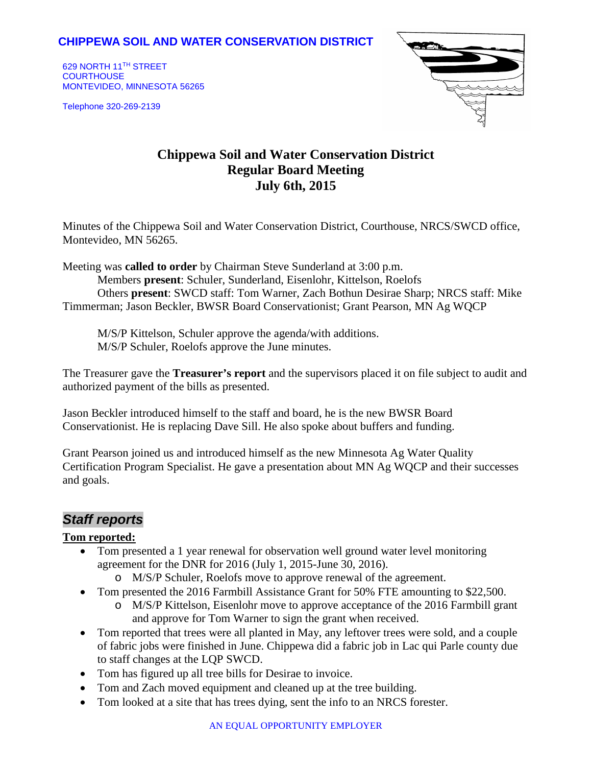### **CHIPPEWA SOIL AND WATER CONSERVATION DISTRICT**

629 NORTH 11TH STREET **COURTHOUSE** MONTEVIDEO, MINNESOTA 56265

Telephone 320-269-2139



# **Chippewa Soil and Water Conservation District Regular Board Meeting July 6th, 2015**

Minutes of the Chippewa Soil and Water Conservation District, Courthouse, NRCS/SWCD office, Montevideo, MN 56265.

Meeting was **called to order** by Chairman Steve Sunderland at 3:00 p.m. Members **present**: Schuler, Sunderland, Eisenlohr, Kittelson, Roelofs Others **present**: SWCD staff: Tom Warner, Zach Bothun Desirae Sharp; NRCS staff: Mike Timmerman; Jason Beckler, BWSR Board Conservationist; Grant Pearson, MN Ag WQCP

M/S/P Kittelson, Schuler approve the agenda/with additions. M/S/P Schuler, Roelofs approve the June minutes.

The Treasurer gave the **Treasurer's report** and the supervisors placed it on file subject to audit and authorized payment of the bills as presented.

Jason Beckler introduced himself to the staff and board, he is the new BWSR Board Conservationist. He is replacing Dave Sill. He also spoke about buffers and funding.

Grant Pearson joined us and introduced himself as the new Minnesota Ag Water Quality Certification Program Specialist. He gave a presentation about MN Ag WQCP and their successes and goals.

## *Staff reports*

#### **Tom reported:**

- Tom presented a 1 year renewal for observation well ground water level monitoring agreement for the DNR for 2016 (July 1, 2015-June 30, 2016).
	- o M/S/P Schuler, Roelofs move to approve renewal of the agreement.
- Tom presented the 2016 Farmbill Assistance Grant for 50% FTE amounting to \$22,500.
	- o M/S/P Kittelson, Eisenlohr move to approve acceptance of the 2016 Farmbill grant and approve for Tom Warner to sign the grant when received.
- Tom reported that trees were all planted in May, any leftover trees were sold, and a couple of fabric jobs were finished in June. Chippewa did a fabric job in Lac qui Parle county due to staff changes at the LQP SWCD.
- Tom has figured up all tree bills for Desirae to invoice.
- Tom and Zach moved equipment and cleaned up at the tree building.
- Tom looked at a site that has trees dying, sent the info to an NRCS forester.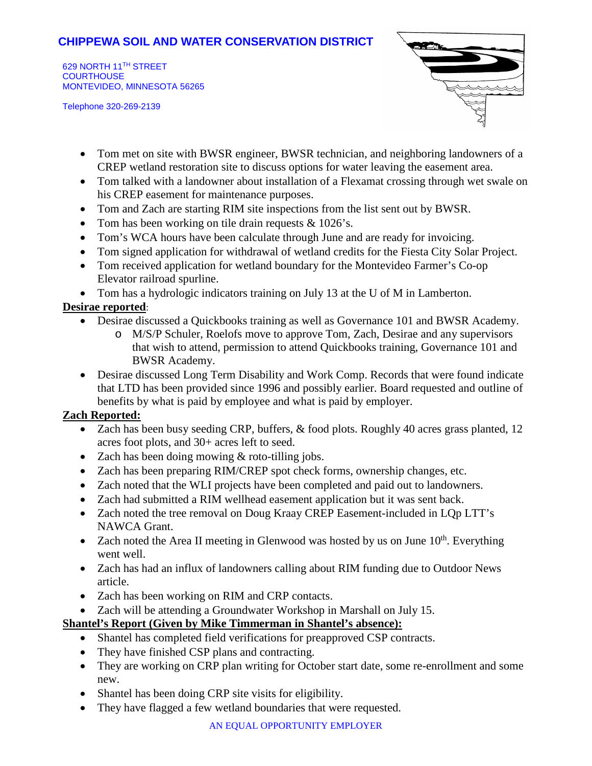### **CHIPPEWA SOIL AND WATER CONSERVATION DISTRICT**

629 NORTH 11TH STREET **COURTHOUSE** MONTEVIDEO, MINNESOTA 56265

Telephone 320-269-2139



- Tom met on site with BWSR engineer, BWSR technician, and neighboring landowners of a CREP wetland restoration site to discuss options for water leaving the easement area.
- Tom talked with a landowner about installation of a Flexamat crossing through wet swale on his CREP easement for maintenance purposes.
- Tom and Zach are starting RIM site inspections from the list sent out by BWSR.
- Tom has been working on tile drain requests & 1026's.
- Tom's WCA hours have been calculate through June and are ready for invoicing.
- Tom signed application for withdrawal of wetland credits for the Fiesta City Solar Project.
- Tom received application for wetland boundary for the Montevideo Farmer's Co-op Elevator railroad spurline.
- Tom has a hydrologic indicators training on July 13 at the U of M in Lamberton.

#### **Desirae reported**:

- Desirae discussed a Quickbooks training as well as Governance 101 and BWSR Academy.
	- o M/S/P Schuler, Roelofs move to approve Tom, Zach, Desirae and any supervisors that wish to attend, permission to attend Quickbooks training, Governance 101 and BWSR Academy.
- Desirae discussed Long Term Disability and Work Comp. Records that were found indicate that LTD has been provided since 1996 and possibly earlier. Board requested and outline of benefits by what is paid by employee and what is paid by employer.

#### **Zach Reported:**

- Zach has been busy seeding CRP, buffers, & food plots. Roughly 40 acres grass planted, 12 acres foot plots, and 30+ acres left to seed.
- Zach has been doing mowing & roto-tilling jobs.
- Zach has been preparing RIM/CREP spot check forms, ownership changes, etc.
- Zach noted that the WLI projects have been completed and paid out to landowners.
- Zach had submitted a RIM wellhead easement application but it was sent back.
- Zach noted the tree removal on Doug Kraay CREP Easement-included in LOp LTT's NAWCA Grant.
- Zach noted the Area II meeting in Glenwood was hosted by us on June  $10^{th}$ . Everything went well.
- Zach has had an influx of landowners calling about RIM funding due to Outdoor News article.
- Zach has been working on RIM and CRP contacts.
- Zach will be attending a Groundwater Workshop in Marshall on July 15.

#### **Shantel's Report (Given by Mike Timmerman in Shantel's absence):**

- Shantel has completed field verifications for preapproved CSP contracts.
- They have finished CSP plans and contracting.
- They are working on CRP plan writing for October start date, some re-enrollment and some new.
- Shantel has been doing CRP site visits for eligibility.
- They have flagged a few wetland boundaries that were requested.